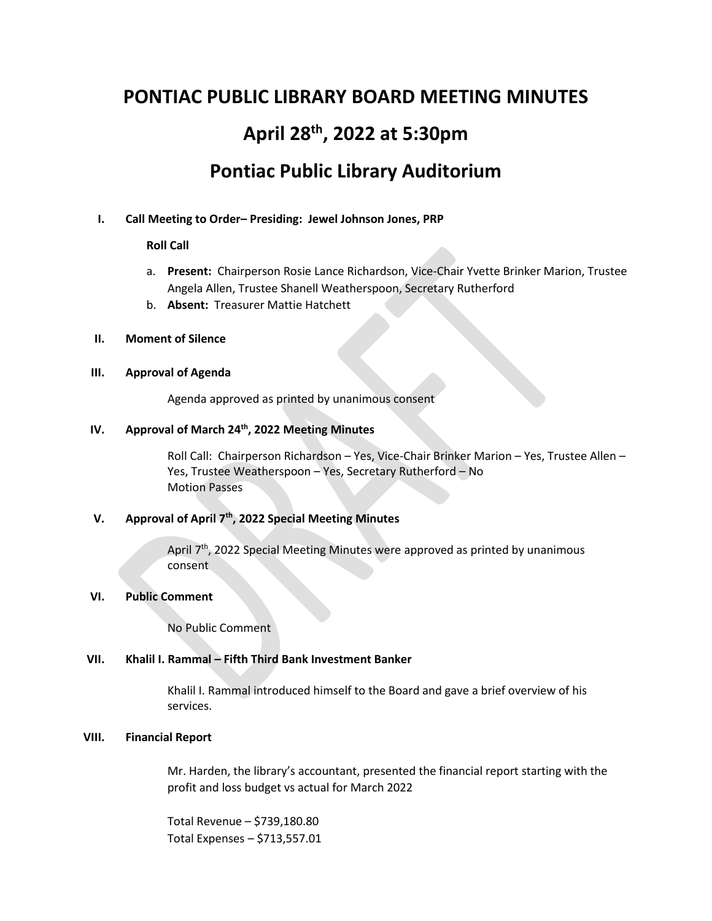# **PONTIAC PUBLIC LIBRARY BOARD MEETING MINUTES April 28th , 2022 at 5:30pm Pontiac Public Library Auditorium**

## **I. Call Meeting to Order– Presiding: Jewel Johnson Jones, PRP**

## **Roll Call**

- a. **Present:** Chairperson Rosie Lance Richardson, Vice-Chair Yvette Brinker Marion, Trustee Angela Allen, Trustee Shanell Weatherspoon, Secretary Rutherford
- b. **Absent:** Treasurer Mattie Hatchett

## **II. Moment of Silence**

## **III. Approval of Agenda**

Agenda approved as printed by unanimous consent

## **IV. Approval of March 24th, 2022 Meeting Minutes**

Roll Call: Chairperson Richardson – Yes, Vice-Chair Brinker Marion – Yes, Trustee Allen – Yes, Trustee Weatherspoon – Yes, Secretary Rutherford – No Motion Passes

# **V. Approval of April 7th, 2022 Special Meeting Minutes**

April 7<sup>th</sup>, 2022 Special Meeting Minutes were approved as printed by unanimous consent

#### **VI. Public Comment**

No Public Comment

## **VII. Khalil I. Rammal – Fifth Third Bank Investment Banker**

Khalil I. Rammal introduced himself to the Board and gave a brief overview of his services.

## **VIII. Financial Report**

Mr. Harden, the library's accountant, presented the financial report starting with the profit and loss budget vs actual for March 2022

Total Revenue – \$739,180.80 Total Expenses – \$713,557.01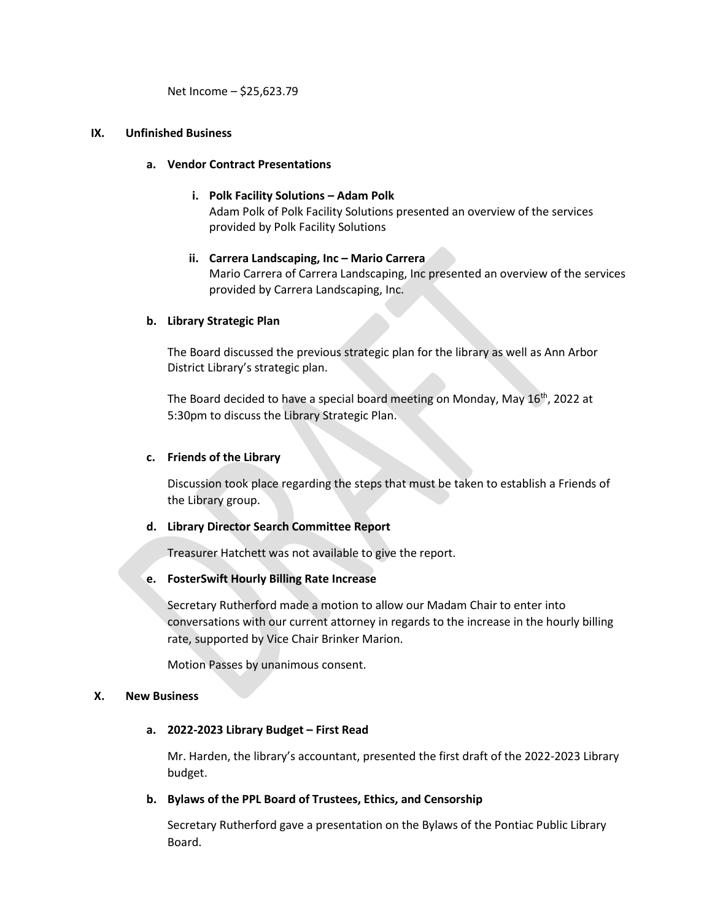Net Income – \$25,623.79

## **IX. Unfinished Business**

## **a. Vendor Contract Presentations**

- **i. Polk Facility Solutions – Adam Polk** Adam Polk of Polk Facility Solutions presented an overview of the services provided by Polk Facility Solutions
- **ii. Carrera Landscaping, Inc – Mario Carrera** Mario Carrera of Carrera Landscaping, Inc presented an overview of the services provided by Carrera Landscaping, Inc.

## **b. Library Strategic Plan**

The Board discussed the previous strategic plan for the library as well as Ann Arbor District Library's strategic plan.

The Board decided to have a special board meeting on Monday, May 16th, 2022 at 5:30pm to discuss the Library Strategic Plan.

## **c. Friends of the Library**

Discussion took place regarding the steps that must be taken to establish a Friends of the Library group.

#### **d. Library Director Search Committee Report**

Treasurer Hatchett was not available to give the report.

#### **e. FosterSwift Hourly Billing Rate Increase**

Secretary Rutherford made a motion to allow our Madam Chair to enter into conversations with our current attorney in regards to the increase in the hourly billing rate, supported by Vice Chair Brinker Marion.

Motion Passes by unanimous consent.

#### **X. New Business**

#### **a. 2022-2023 Library Budget – First Read**

Mr. Harden, the library's accountant, presented the first draft of the 2022-2023 Library budget.

## **b. Bylaws of the PPL Board of Trustees, Ethics, and Censorship**

Secretary Rutherford gave a presentation on the Bylaws of the Pontiac Public Library Board.